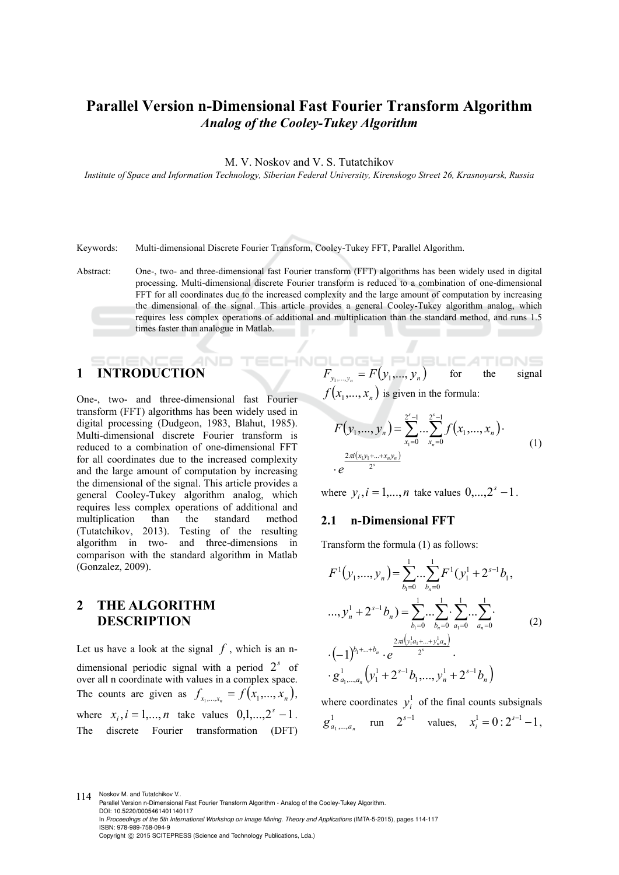# **Parallel Version n-Dimensional Fast Fourier Transform Algorithm**  *Analog of the Cooley-Tukey Algorithm*

M. V. Noskov and V. S. Tutatchikov

*Institute of Space and Information Technology, Siberian Federal University, Kirenskogo Street 26, Krasnoyarsk, Russia* 

Keywords: Multi-dimensional Discrete Fourier Transform, Cooley-Tukey FFT, Parallel Algorithm.

Abstract: One-, two- and three-dimensional fast Fourier transform (FFT) algorithms has been widely used in digital processing. Multi-dimensional discrete Fourier transform is reduced to a combination of one-dimensional FFT for all coordinates due to the increased complexity and the large amount of computation by increasing the dimensional of the signal. This article provides a general Cooley-Tukey algorithm analog, which requires less complex operations of additional and multiplication than the standard method, and runs 1.5 times faster than analogue in Matlab.

HNC

### TIENIE **1 INTRODUCTION**

One-, two- and three-dimensional fast Fourier transform (FFT) algorithms has been widely used in digital processing (Dudgeon, 1983, Blahut, 1985). Multi-dimensional discrete Fourier transform is reduced to a combination of one-dimensional FFT for all coordinates due to the increased complexity and the large amount of computation by increasing the dimensional of the signal. This article provides a general Cooley-Tukey algorithm analog, which requires less complex operations of additional and multiplication than the standard method (Tutatchikov, 2013). Testing of the resulting algorithm in two- and three-dimensions in comparison with the standard algorithm in Matlab (Gonzalez, 2009).

**2 THE ALGORITHM DESCRIPTION** 

Let us have a look at the signal  $f$ , which is an ndimensional periodic signal with a period  $2<sup>s</sup>$  of over all n coordinate with values in a complex space. The counts are given as  $f_{x_1,...,x_n} = f(x_1,...,x_n)$ , where  $x_i$ ,  $i = 1,...,n$  take values  $0,1,...,2^s - 1$ . The discrete Fourier transformation (DFT)

$$
F_{y_1,\dots,y_n} = F(y_1,\dots,y_n)
$$
 for the signal  
 $f(x, x)$  is given in the formula:

$$
f(x_1,...,x_n)
$$
 is given in the formula:

$$
F(y_1,..., y_n) = \sum_{x_1=0}^{2^s-1} ... \sum_{x_n=0}^{2^s-1} f(x_1,..., x_n).
$$
  
 
$$
\cdot e^{\frac{2\pi i (x_1y_1+...+x_ny_n)}{2^s}}
$$
 (1)

where  $y_i$ ,  $i = 1,...,n$  take values  $0,...,2^s - 1$ .

#### **2.1 n-Dimensional FFT**

Transform the formula (1) as follows:

$$
F^{1}(y_{1},...,y_{n}) = \sum_{b_{1}=0}^{1}...\sum_{b_{n}=0}^{1}F^{1}(y_{1}^{1}+2^{s-1}b_{1},
$$
  

$$
..., y_{n}^{1} + 2^{s-1}b_{n}) = \sum_{b_{1}=0}^{1}...\sum_{b_{n}=0}^{1}...\sum_{a_{1}=0}^{1}...\sum_{a_{n}=0}^{1}.
$$
  

$$
\cdot (-1)^{b_{1}+...+b_{n}} \cdot e^{\frac{2\pi(y_{1}^{1}a_{1}+...+y_{n}^{1}a_{n})}{2^{s}}}.
$$
  

$$
\cdot g_{a_{1},...,a_{n}}^{1}(y_{1}^{1}+2^{s-1}b_{1},...,y_{n}^{1}+2^{s-1}b_{n})
$$
 (2)

where coordinates  $y_i^1$  of the final counts subsignals  $g_{a_1,...,a_n}^1$  run  $2^{s-1}$  values,  $x_i^1 = 0: 2^{s-1} - 1$ ,

114 Noskov M. and Tutatchikov V.. Parallel Version n-Dimensional Fast Fourier Transform Algorithm - Analog of the Cooley-Tukey Algorithm. DOI: 10.5220/0005461401140117 In *Proceedings of the 5th International Workshop on Image Mining. Theory and Applications* (IMTA-5-2015), pages 114-117 ISBN: 978-989-758-094-9 Copyright © 2015 SCITEPRESS (Science and Technology Publications, Lda.)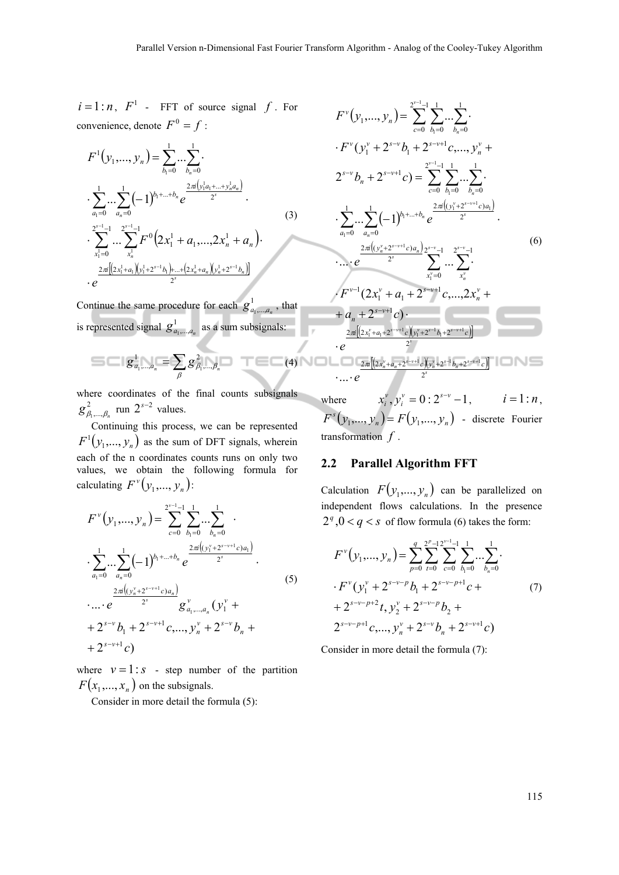$i = 1:n$ ,  $F<sup>1</sup>$  - FFT of source signal  $f$ . For convenience, denote  $F^0 = f$ :

$$
F^{1}(y_{1},..., y_{n}) = \sum_{b_{1}=0}^{1} ... \sum_{b_{n}=0}^{1} ...
$$
  
\n
$$
\sum_{a_{1}=0}^{1} ... \sum_{a_{n}=0}^{1} (-1)^{b_{1}+...+b_{n}} e^{\frac{2\pi i (y_{1}^{1}a_{1}+...+y_{n}^{1}a_{n})}{2^{s}}}.
$$
  
\n
$$
\sum_{x_{1}^{1}=0}^{2^{s-1}-1} ... \sum_{x_{n}^{1}}^{2^{s-1}-1} F^{0}(2x_{1}^{1}+a_{1},..., 2x_{n}^{1}+a_{n}).
$$
  
\n
$$
\sum_{e}^{2\pi} \frac{[(2x_{1}^{1}+a_{1})(y_{1}^{1}+2^{s-1}b_{1})+...+(2x_{n}^{1}+a_{n})(y_{n}^{1}+2^{s-1}b_{n})]}{2^{s}}.
$$
  
\n(3)

Continue the same procedure for each  $g_{a_1,...,a_n}^1$ , that is represented signal  $g_{a_1,...,a_n}^1$  as a sum subsignals:

$$
g_{a_1,...,a_n}^1 = \sum_{\beta} g_{\beta_1,...,\beta_n}^2
$$
 (4)

where coordinates of the final counts subsignals  $g_{\beta_1,\dots,\beta_n}^2$  run  $2^{s-2}$  values.

Continuing this process, we can be represented  $F^1(y_1,..., y_n)$  as the sum of DFT signals, wherein each of the n coordinates counts runs on only two values, we obtain the following formula for calculating  $F^{\nu}(y_1,..., y_n)$ :

$$
F^{\nu}(y_1,...,y_n) = \sum_{c=0}^{2^{\nu-1}-1} \sum_{b_1=0}^{1} ... \sum_{b_n=0}^{1} ...
$$
  
\n
$$
\sum_{a_1=0}^{1} ... \sum_{a_n=0}^{1} (-1)^{b_1+...+b_n} e^{\frac{2\pi i \left((y_1^{\nu}+2^{s-\nu+1}c)a_1\right)}{2^s}}.
$$
  
\n
$$
\cdots e^{\frac{2\pi i \left((y_n^{\nu}+2^{s-\nu+1}c)a_n\right)}{2^s}} g^{\nu}_{a_1,...,a_n}(y_1^{\nu} +
$$
  
\n
$$
+ 2^{s-\nu} b_1 + 2^{s-\nu+1} c, ..., y_n^{\nu} + 2^{s-\nu} b_n +
$$
  
\n
$$
+ 2^{s-\nu+1} c)
$$
  
\n(5)

where  $v = 1$ : *s* - step number of the partition  $F(x_1,...,x_n)$  on the subsignals.

Consider in more detail the formula (5):

$$
F^{v}(y_{1},...,y_{n}) = \sum_{c=0}^{2^{v-1}-1} \sum_{b_{1}=0}^{1} ... \sum_{b_{n}=0}^{1} ...
$$
  
\n
$$
\cdot F^{v}(y_{1}^{v} + 2^{s-v}b_{1} + 2^{s-v+1}c,...,y_{n}^{v} + 2^{s-v}b_{n} + 2^{s-v+1}c) = \sum_{c=0}^{2^{v-1}-1} \sum_{b_{1}=0}^{1} ... \sum_{b_{n}=0}^{1} ...
$$
  
\n
$$
\cdot \sum_{a_{1}=0}^{1} ... \sum_{a_{n}=0}^{1} (-1)^{b_{1}+...+b_{n}} e^{\frac{2\pi i((y_{1}^{v} + 2^{s-v+1}c)a_{1})}{2^{s}}}
$$
  
\n
$$
\cdot ... \cdot e^{\frac{2\pi i((y_{n}^{v} + 2^{s-v+1}c)a_{n})}{2^{s}} \sum_{x_{1}^{v}=0}^{2^{s-v}-1} ... \sum_{x_{n}^{v}}^{2^{s-v}-1} ...
$$
  
\n
$$
\cdot F^{v-1}(2x_{1}^{v} + a_{1} + 2^{s-v+1}c,...,2x_{n}^{v} + a_{n} + 2^{s-v+1}c) \cdot \frac{2\pi i[2x_{1}^{v} + a_{1} + 2^{s-v+1}c](y_{1}^{v} + 2^{s-1}b_{1} + 2^{s-v+1}c]}{2^{s}}
$$
  
\n
$$
\cdot e^{\frac{2\pi i[2x_{1}^{v} + a_{1} + 2^{s-v+1}c](y_{1}^{v} + 2^{s-1}b_{1} + 2^{s-v+1}c]}}{2^{s}}
$$
  
\n...  $e^{\frac{2\pi i[2x_{1}^{v} + a_{n} + 2^{s-v+1}c](y_{1}^{v} + 2^{s-1}b_{n} + 2^{s-v+1}c]}}{2^{s}}$ 

where  $x_i^{\nu}, y_i^{\nu} = 0 : 2^{s-\nu} - 1$  $x_i^{\nu}, y_i^{\nu} = 0: 2^{s-\nu} - 1, \qquad i = 1:n,$  $F<sup>s</sup>(y_1,..., y_n) = F(y_1,..., y_n)$  - discrete Fourier transformation *f* .

### **2.2 Parallel Algorithm FFT**

Calculation  $F(y_1,...,y_n)$  can be parallelized on independent flows calculations. In the presence  $2^q$ ,  $0 < q < s$  of flow formula (6) takes the form:

$$
F^{\nu}(y_1,...,y_n) = \sum_{p=0}^{q} \sum_{t=0}^{2^p-1} \sum_{c=0}^{2^{v-1}-1} \sum_{b_1=0}^{1} ... \sum_{b_n=0}^{1} \cdot F^{\nu}(y_1^{\nu} + 2^{s-\nu-p}b_1 + 2^{s-\nu-p+1}c +
$$
  
+  $2^{s-\nu-p+2}t, y_2^{\nu} + 2^{s-\nu-p}b_2 +$   
 $2^{s-\nu-p+1}c, ..., y_n^{\nu} + 2^{s-\nu}b_n + 2^{s-\nu+1}c$  (7)

Consider in more detail the formula (7):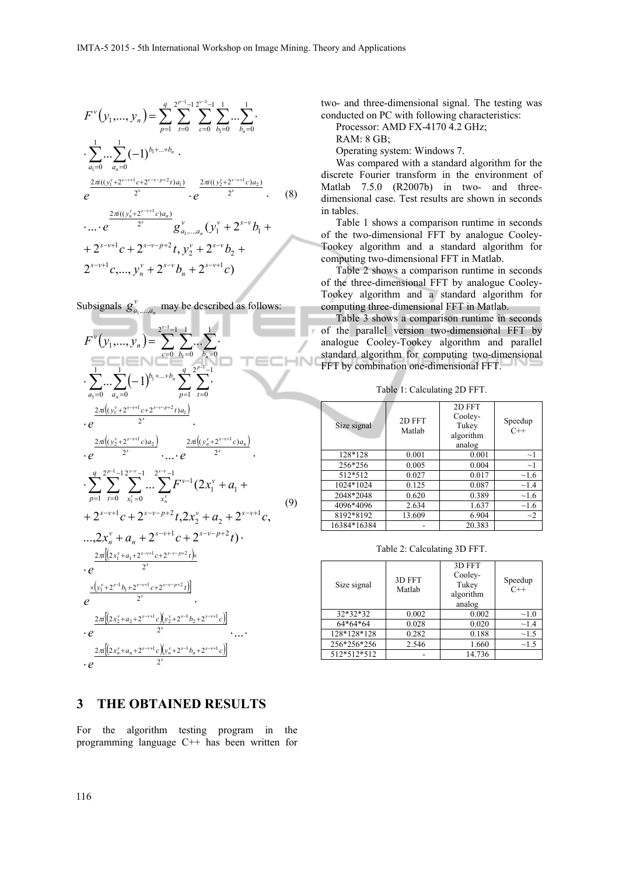$$
F^{\nu}(y_1,...,y_n) = \sum_{p=1}^{q} \sum_{t=0}^{2^{p-1}-1} \sum_{c=0}^{2^{v-1}-1} \sum_{b_1=0}^{1} ... \sum_{b_n=0}^{1} ...
$$
  
\n
$$
\cdot \sum_{a_1=0}^{1} ... \sum_{a_n=0}^{1} (-1)^{b_1+...+b_n}
$$
  
\n
$$
e^{\frac{2\pi i((y_1^{\nu}+2^{s-v+1}c+2^{s-v-p+2}t)a_1)}{2^s}} \cdot e^{\frac{2\pi i((y_2^{\nu}+2^{s-v+1}c)a_2)}{2^s}}.
$$
  
\n
$$
\dots \cdot e^{\frac{2\pi i((y_n^{\nu}+2^{s-v+1}c)a_n)}{2^s}} g_{a_1,...,a_n}^{\nu}(y_1^{\nu}+2^{s-v}b_1 +
$$
  
\n
$$
+ 2^{s-v+1}c + 2^{s-v-p+2}t, y_2^{\nu} + 2^{s-v}b_2 +
$$
  
\n
$$
2^{s-v+1}c, ..., y_n^{\nu} + 2^{s-v}b_n + 2^{s-v+1}c
$$

Subsignals  $g_{a_1,...,a_n}^{\nu}$  may be described as follows:

*n*

*n*



#### **3 THE OBTAINED RESULTS**

For the algorithm testing program in the programming language C++ has been written for

two- and three-dimensional signal. The testing was conducted on PC with following characteristics:

Processor: AMD FX-4170 4.2 GHz;

RAM: 8 GB;

Operating system: Windows 7.

Was compared with a standard algorithm for the discrete Fourier transform in the environment of Matlab 7.5.0 (R2007b) in two- and threedimensional case. Test results are shown in seconds in tables.

Table 1 shows a comparison runtime in seconds of the two-dimensional FFT by analogue Cooley-Tookey algorithm and a standard algorithm for computing two-dimensional FFT in Matlab.

Table 2 shows a comparison runtime in seconds of the three-dimensional FFT by analogue Cooley-Tookey algorithm and a standard algorithm for computing three-dimensional FFT in Matlab.

Table 3 shows a comparison runtime in seconds of the parallel version two-dimensional FFT by analogue Cooley-Tookey algorithm and parallel standard algorithm for computing two-dimensional FFT by combination one-dimensional FFT.

Table 1: Calculating 2D FFT.

| Size signal | 2D FFT<br>Matlah | 2D FFT<br>Cooley-<br>Tukey<br>algorithm<br>analog | Speedup<br>$C++$ |
|-------------|------------------|---------------------------------------------------|------------------|
| 128*128     | 0.001            | 0.001                                             | $\sim$ 1         |
| 256*256     | 0.005            | 0.004                                             | $\sim$ 1         |
| 512*512     | 0.027            | 0.017                                             | $\sim$ 1.6       |
| 1024*1024   | 0.125            | 0.087                                             | $\sim$ 1.4       |
| 2048*2048   | 0.620            | 0.389                                             | $\sim$ 1.6       |
| 4096*4096   | 2.634            | 1.637                                             | $\sim$ 1.6       |
| 8192*8192   | 13.609           | 6.904                                             | $\sim$ 2         |
| 16384*16384 |                  | 20.383                                            |                  |

Table 2: Calculating 3D FFT.

| Size signal | 3D FFT<br>Matlab | 3D FFT<br>Cooley-<br>Tukey<br>algorithm<br>analog | Speedup<br>$C++$ |
|-------------|------------------|---------------------------------------------------|------------------|
| 32*32*32    | 0.002            | 0.002                                             | $\sim 1.0$       |
| 64*64*64    | 0.028            | 0.020                                             | $\sim$ 1.4       |
| 128*128*128 | 0.282            | 0.188                                             | $\sim$ 1.5       |
| 256*256*256 | 2.546            | 1.660                                             | $\sim$ 1.5       |
| 512*512*512 |                  | 14.736                                            |                  |